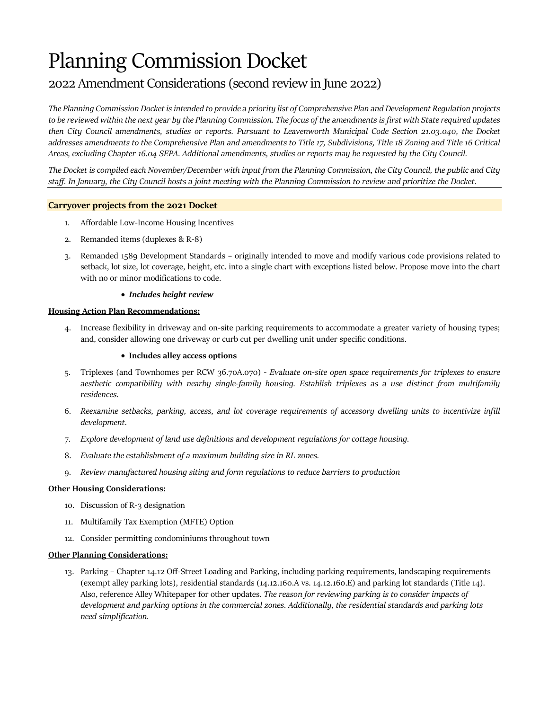# Planning Commission Docket

# 2022 Amendment Considerations (second review in June 2022)

*The Planning Commission Docket is intended to provide a priority list of Comprehensive Plan and Development Regulation projects to be reviewed within the next year by the Planning Commission. The focus of the amendments is first with State required updates then City Council amendments, studies or reports. Pursuant to Leavenworth Municipal Code Section 21.03.040, the Docket addresses amendments to the Comprehensive Plan and amendments to Title 17, Subdivisions, Title 18 Zoning and Title 16 Critical Areas, excluding Chapter 16.04 SEPA. Additional amendments, studies or reports may be requested by the City Council.*

*The Docket is compiled each November/December with input from the Planning Commission, the City Council, the public and City staff. In January, the City Council hosts a joint meeting with the Planning Commission to review and prioritize the Docket.*

# **Carryover projects from the 2021 Docket**

- 1. Affordable Low-Income Housing Incentives
- 2. Remanded items (duplexes & R-8)
- 3. Remanded 1589 Development Standards originally intended to move and modify various code provisions related to setback, lot size, lot coverage, height, etc. into a single chart with exceptions listed below. Propose move into the chart with no or minor modifications to code.

### • *Includes height review*

### **Housing Action Plan Recommendations:**

4. Increase flexibility in driveway and on-site parking requirements to accommodate a greater variety of housing types; and, consider allowing one driveway or curb cut per dwelling unit under specific conditions.

## • **Includes alley access options**

- 5. Triplexes (and Townhomes per RCW 36.70A.070) *Evaluate on-site open space requirements for triplexes to ensure aesthetic compatibility with nearby single-family housing. Establish triplexes as a use distinct from multifamily residences.*
- 6. *Reexamine setbacks, parking, access, and lot coverage requirements of accessory dwelling units to incentivize infill development.*
- 7. *Explore development of land use definitions and development regulations for cottage housing.*
- 8. *Evaluate the establishment of a maximum building size in RL zones.*
- 9. *Review manufactured housing siting and form regulations to reduce barriers to production*

#### **Other Housing Considerations:**

- 10. Discussion of R-3 designation
- 11. Multifamily Tax Exemption (MFTE) Option
- 12. Consider permitting condominiums throughout town

#### **Other Planning Considerations:**

13. Parking – Chapter 14.12 Off-Street Loading and Parking, including parking requirements, landscaping requirements (exempt alley parking lots), residential standards (14.12.160.A vs. 14.12.160.E) and parking lot standards (Title 14). Also, reference Alley Whitepaper for other updates. *The reason for reviewing parking is to consider impacts of development and parking options in the commercial zones. Additionally, the residential standards and parking lots need simplification.*